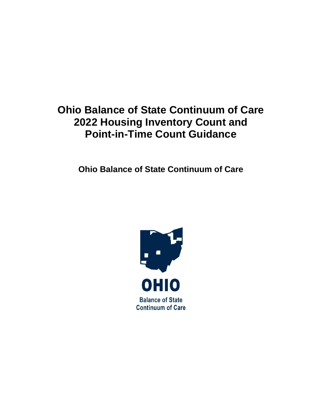# **Ohio Balance of State Continuum of Care 2022 Housing Inventory Count and Point-in-Time Count Guidance**

**Ohio Balance of State Continuum of Care**

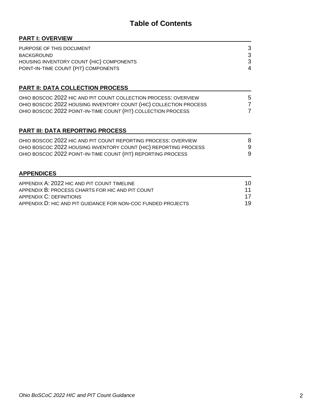# **Table of Contents**

| <b>PART I: OVERVIEW</b>                                           |    |
|-------------------------------------------------------------------|----|
| PURPOSE OF THIS DOCUMENT                                          | 3  |
| <b>BACKGROUND</b>                                                 | 3  |
| HOUSING INVENTORY COUNT (HIC) COMPONENTS                          | 3  |
| POINT-IN-TIME COUNT (PIT) COMPONENTS                              | 4  |
| <b>PART II: DATA COLLECTION PROCESS</b>                           |    |
| OHIO BOSCOC 2022 HIC AND PIT COUNT COLLECTION PROCESS: OVERVIEW   | 5  |
| OHIO BOSCOC 2022 HOUSING INVENTORY COUNT (HIC) COLLECTION PROCESS | 7  |
| OHIO BOSCOC 2022 POINT-IN-TIME COUNT (PIT) COLLECTION PROCESS     | 7  |
| <b>PART III: DATA REPORTING PROCESS</b>                           |    |
| OHIO BOSCOC 2022 HIC AND PIT COUNT REPORTING PROCESS: OVERVIEW    | 8  |
| OHIO BOSCOC 2022 HOUSING INVENTORY COUNT (HIC) REPORTING PROCESS  | 9  |
| OHIO BOSCOC 2022 POINT-IN-TIME COUNT (PIT) REPORTING PROCESS      | 9  |
| <b>APPENDICES</b>                                                 |    |
| APPENDIX A: 2022 HIC AND PIT COUNT TIMELINE                       | 10 |
| APPENDIX B: PROCESS CHARTS FOR HIC AND PIT COUNT                  | 11 |
| <b>APPENDIX C: DEFINITIONS</b>                                    | 17 |

APPENDIX D: HIC AND PIT GUIDANCE FOR NON-COC FUNDED PROJECTS 19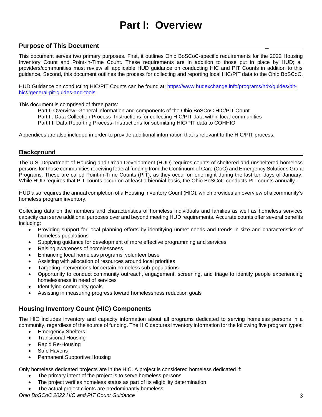# **Part I: Overview**

### **Purpose of This Document \_**

This document serves two primary purposes. First, it outlines Ohio BoSCoC-specific requirements for the 2022 Housing Inventory Count and Point-in-Time Count. These requirements are in addition to those put in place by HUD; all providers/communities must review all applicable HUD guidance on conducting HIC and PIT Counts in addition to this guidance. Second, this document outlines the process for collecting and reporting local HIC/PIT data to the Ohio BoSCoC.

HUD Guidance on conducting HIC/PIT Counts can be found at: [https://www.hudexchange.info/programs/hdx/guides/pit](https://www.hudexchange.info/programs/hdx/guides/pit-hic/#general-pit-guides-and-tools)[hic/#general-pit-guides-and-tools](https://www.hudexchange.info/programs/hdx/guides/pit-hic/#general-pit-guides-and-tools)

This document is comprised of three parts:

- Part I: Overview- General information and components of the Ohio BoSCoC HIC/PIT Count
- Part II: Data Collection Process- Instructions for collecting HIC/PIT data within local communities
- Part III: Data Reporting Process- Instructions for submitting HIC/PIT data to COHHIO

Appendices are also included in order to provide additional information that is relevant to the HIC/PIT process.

### **Background**

The U.S. Department of Housing and Urban Development (HUD) requires counts of sheltered and unsheltered homeless persons for those communities receiving federal funding from the Continuum of Care (CoC) and Emergency Solutions Grant Programs. These are called Point-in-Time Counts (PIT), as they occur on one night during the last ten days of January. While HUD requires that PIT counts occur on at least a biennial basis, the Ohio BoSCoC conducts PIT counts annually.

HUD also requires the annual completion of a Housing Inventory Count (HIC), which provides an overview of a community's homeless program inventory.

Collecting data on the numbers and characteristics of homeless individuals and families as well as homeless services capacity can serve additional purposes over and beyond meeting HUD requirements. Accurate counts offer several benefits including:

- Providing support for local planning efforts by identifying unmet needs and trends in size and characteristics of homeless populations
- Supplying guidance for development of more effective programming and services
- Raising awareness of homelessness
- Enhancing local homeless programs' volunteer base
- Assisting with allocation of resources around local priorities
- Targeting interventions for certain homeless sub-populations
- Opportunity to conduct community outreach, engagement, screening, and triage to identify people experiencing homelessness in need of services
- Identifying community goals
- Assisting in measuring progress toward homelessness reduction goals

## **Housing Inventory Count (HIC) Components**

The HIC includes inventory and capacity information about all programs dedicated to serving homeless persons in a community, regardless of the source of funding. The HIC captures inventory information for the following five program types:

- Emergency Shelters
- Transitional Housing
- Rapid Re-Housing
- Safe Havens
- Permanent Supportive Housing

Only homeless dedicated projects are in the HIC. A project is considered homeless dedicated if:

- The primary intent of the project is to serve homeless persons
- The project verifies homeless status as part of its eligibility determination
- The actual project clients are predominantly homeless

*Ohio BoSCoC 2022 HIC and PIT Count Guidance* 3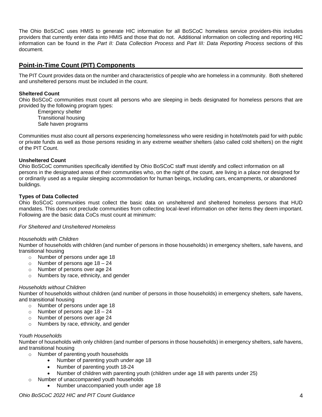The Ohio BoSCoC uses HMIS to generate HIC information for all BoSCoC homeless service providers-this includes providers that currently enter data into HMIS and those that do not. Additional information on collecting and reporting HIC information can be found in the *Part II: Data Collection Process* and *Part III: Data Reporting Process* sections of this document.

## **Point-in-Time Count (PIT) Components**

The PIT Count provides data on the number and characteristics of people who are homeless in a community. Both sheltered and unsheltered persons must be included in the count.

#### **Sheltered Count**

Ohio BoSCoC communities must count all persons who are sleeping in beds designated for homeless persons that are provided by the following program types:

Emergency shelter Transitional housing Safe haven programs

Communities must also count all persons experiencing homelessness who were residing in hotel/motels paid for with public or private funds as well as those persons residing in any extreme weather shelters (also called cold shelters) on the night of the PIT Count.

#### **Unsheltered Count**

Ohio BoSCoC communities specifically identified by Ohio BoSCoC staff must identify and collect information on all persons in the designated areas of their communities who, on the night of the count, are living in a place not designed for or ordinarily used as a regular sleeping accommodation for human beings, including cars, encampments, or abandoned buildings.

#### **Types of Data Collected**

Ohio BoSCoC communities must collect the basic data on unsheltered and sheltered homeless persons that HUD mandates. This does not preclude communities from collecting local-level information on other items they deem important. Following are the basic data CoCs must count at minimum:

#### *For Sheltered and Unsheltered Homeless*

#### *Households with Children*

Number of households with children (and number of persons in those households) in emergency shelters, safe havens, and transitional housing

- o Number of persons under age 18
- o Number of persons age 18 24
- o Number of persons over age 24
- o Numbers by race, ethnicity, and gender

#### *Households without Children*

Number of households without children (and number of persons in those households) in emergency shelters, safe havens, and transitional housing

- o Number of persons under age 18
- o Number of persons age  $18 24$
- o Number of persons over age 24
- o Numbers by race, ethnicity, and gender

#### *Youth Households*

Number of households with only children (and number of persons in those households) in emergency shelters, safe havens, and transitional housing

- o Number of parenting youth households
	- Number of parenting youth under age 18
	- Number of parenting youth 18-24
	- Number of children with parenting youth (children under age 18 with parents under 25)
- o Number of unaccompanied youth households
	- Number unaccompanied youth under age 18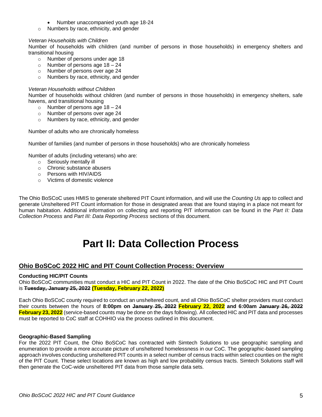- Number unaccompanied youth age 18-24
- o Numbers by race, ethnicity, and gender

#### *Veteran Households with Children*

Number of households with children (and number of persons in those households) in emergency shelters and transitional housing

- o Number of persons under age 18
- o Number of persons age  $18 24$
- o Number of persons over age 24
- o Numbers by race, ethnicity, and gender

#### *Veteran Households without Children*

Number of households without children (and number of persons in those households) in emergency shelters, safe havens, and transitional housing

- o Number of persons age  $18 24$
- o Number of persons over age 24
- o Numbers by race, ethnicity, and gender

Number of adults who are chronically homeless

Number of families (and number of persons in those households) who are chronically homeless

Number of adults (including veterans) who are:

- o Seriously mentally ill
- o Chronic substance abusers
- o Persons with HIV/AIDS
- o Victims of domestic violence

The Ohio BoSCoC uses HMIS to generate sheltered PIT Count information, and will use the *Counting Us* app to collect and generate Unsheltered PIT Count information for those in designated areas that are found staying in a place not meant for human habitation. Additional information on collecting and reporting PIT information can be found in the *Part II: Data Collection Process* and *Part III: Data Reporting Process* sections of this document.

# **Part II: Data Collection Process**

## **Ohio BoSCoC 2022 HIC and PIT Count Collection Process: Overview**

#### **Conducting HIC/PIT Counts**

Ohio BoSCoC communities must conduct a HIC and PIT Count in 2022. The date of the Ohio BoSCoC HIC and PIT Count is **Tuesday, January 25, 2022 (Tuesday, February 22, 2022)**

Each Ohio BoSCoC county required to conduct an unsheltered count, and all Ohio BoSCoC shelter providers must conduct their counts between the hours of **8:00pm on January 25, 2022 February 22, 2022 and 6:00am January 26, 2022 February 23, 2022** (service-based counts may be done on the days following). All collected HIC and PIT data and processes must be reported to CoC staff at COHHIO via the process outlined in this document.

#### **Geographic-Based Sampling**

For the 2022 PIT Count, the Ohio BoSCoC has contracted with Simtech Solutions to use geographic sampling and enumeration to provide a more accurate picture of unsheltered homelessness in our CoC. The geographic-based sampling approach involves conducting unsheltered PIT counts in a select number of census tracts within select counties on the night of the PIT Count. These select locations are known as high and low probability census tracts. Simtech Solutions staff will then generate the CoC-wide unsheltered PIT data from those sample data sets.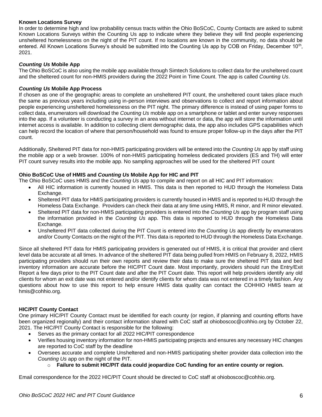#### **Known Locations Survey**

In order to determine high and low probability census tracts within the Ohio BoSCoC, County Contacts are asked to submit Known Locations Surveys within the Counting Us app to indicate where they believe they will find people experiencing unsheltered homelessness on the night of the PIT count. If no locations are known in the community, no data should be entered. All Known Locations Survey's should be submitted into the Counting Us app by COB on Friday, December 10<sup>th</sup>, 2021.

#### *Counting Us* **Mobile App**

The Ohio BoSCoC is also using the mobile app available through Simtech Solutions to collect data for the unsheltered count and the sheltered count for non-HMIS providers during the 2022 Point in Time Count. The app is called *Counting Us*.

#### *Counting Us* **Mobile App Process**

If chosen as one of the geographic areas to complete an unsheltered PIT count, the unsheltered count takes place much the same as previous years including using in-person interviews and observations to collect and report information about people experiencing unsheltered homelessness on the PIT night. The primary difference is instead of using paper forms to collect data, enumerators will download the *Counting Us* mobile app on a smartphone or tablet and enter survey responses into the app. If a volunteer is conducting a survey in an area without internet or data, the app will store the information until internet access is available. In addition to collecting client demographic data, the app also includes GPS capabilities which can help record the location of where that person/household was found to ensure proper follow-up in the days after the PIT count.

Additionally, Sheltered PIT data for non-HMIS participating providers will be entered into the *Counting Us* app by staff using the mobile app or a web browser. 100% of non-HMIS participating homeless dedicated providers (ES and TH) will enter PIT count survey results into the mobile app. No sampling approaches will be used for the sheltered PIT count

#### **Ohio BoSCoC Use of HMIS and** *Counting Us* **Mobile App for HIC and PIT**

The Ohio BoSCoC uses HMIS and the *Counting Us* app to compile and report on all HIC and PIT information:

- All HIC information is currently housed in HMIS. This data is then reported to HUD through the Homeless Data Exchange.
- Sheltered PIT data for HMIS participating providers is currently housed in HMIS and is reported to HUD through the Homeless Data Exchange. Providers can check their data at any time using HMIS, R minor, and R minor elevated.
- Sheltered PIT data for non-HMIS participating providers is entered into the *Counting Us* app by program staff using the information provided in the *Counting Us* app. This data is reported to HUD through the Homeless Data Exchange.
- Unsheltered PIT data collected during the PIT Count is entered into the *Counting Us* app directly by enumerators and/or County Contacts on the night of the PIT. This data is reported to HUD through the Homeless Data Exchange.

Since all sheltered PIT data for HMIS participating providers is generated out of HMIS, it is critical that provider and client level data be accurate at all times. In advance of the sheltered PIT data being pulled from HMIS on February 8, 2022, HMIS participating providers should run their own reports and review their data to make sure the sheltered PIT data and bed inventory information are accurate before the HIC/PIT Count date. Most importantly, providers should run the Entry/Exit Report a few days prior to the PIT Count date and after the PIT Count date. This report will help providers identify any old clients for whom an exit date was not entered and/or identify clients for whom data was not entered in a timely fashion. Any questions about how to use this report to help ensure HMIS data quality can contact the COHHIO HMIS team at hmis@cohhio.org.

#### **HIC/PIT County Contact**

One primary HIC/PIT County Contact must be identified for each county (or region, if planning and counting efforts have been organized regionally) and their contact information shared with CoC staff at ohiobosco[c@cohhio.org](mailto:ericamulryan@cohhio.org) by October 22, 2021. The HIC/PIT County Contact is responsible for the following:

- Serves as the primary contact for all 2022 HIC/PIT correspondence
- Verifies housing inventory information for non-HMIS participating projects and ensures any necessary HIC changes are reported to CoC staff by the deadline
- Oversees accurate and complete Unsheltered and non-HMIS participating shelter provider data collection into the *Counting Us* app on the night of the PIT.
	- o **Failure to submit HIC/PIT data could jeopardize CoC funding for an entire county or region.**

Email correspondence for the 2022 HIC/PIT Count should be directed to CoC staff at ohiobosco[c@cohhio.org.](mailto:ericamulryan@cohhio.org)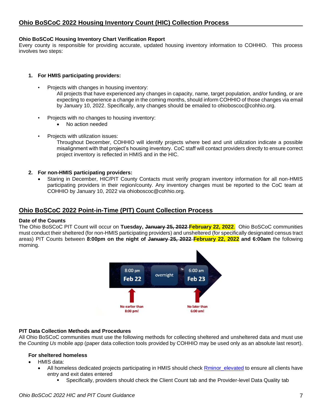#### **Ohio BoSCoC Housing Inventory Chart Verification Report**

Every county is responsible for providing accurate, updated housing inventory information to COHHIO. This process involves two steps:

#### **1. For HMIS participating providers:**

- Projects with changes in housing inventory:
	- All projects that have experienced any changes in capacity, name, target population, and/or funding, or are expecting to experience a change in the coming months, should inform COHHIO of those changes via email by January 10, 2022. Specifically, any changes should be emailed to ohioboscoc@cohhio.org.
- Projects with no changes to housing inventory:
	- No action needed
- Projects with utilization issues:

Throughout December, COHHIO will identify projects where bed and unit utilization indicate a possible misalignment with that project's housing inventory. CoC staff will contact providers directly to ensure correct project inventory is reflected in HMIS and in the HIC.

- **2. For non-HMIS participating providers:**
	- Staring in December, HIC/PIT County Contacts must verify program inventory information for all non-HMIS participating providers in their region/county. Any inventory changes must be reported to the CoC team at COHHIO by January 10, 2022 via ohioboscoc@cohhio.org.

### **Ohio BoSCoC 2022 Point-in-Time (PIT) Count Collection Process**

#### **Date of the Counts**

The Ohio BoSCoC PIT Count will occur on **Tuesday, January 25, 2022 February 22, 2022**. Ohio BoSCoC communities must conduct their sheltered (for non-HMIS participating providers) and unsheltered (for specifically designated census tract areas) PIT Counts between **8:00pm on the night of January 25, 2022 February 22, 2022 and 6:00am** the following morning.



#### **PIT Data Collection Methods and Procedures**

All Ohio BoSCoC communities must use the following methods for collecting sheltered and unsheltered data and must use the *Counting Us* mobile app (paper data collection tools provided by COHHIO may be used only as an absolute last resort).

#### **For sheltered homeless**

- HMIS data:
	- All homeless dedicated projects participating in HMIS should check [Rminor\\_elevated](https://ohiobalanceofstatecoc.shinyapps.io/Rminor_elevated/) to ensure all clients have entry and exit dates entered
		- Specifically, providers should check the Client Count tab and the Provider-level Data Quality tab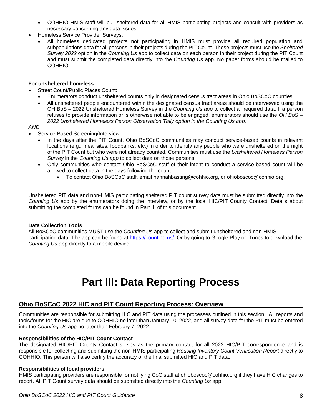- COHHIO HMIS staff will pull sheltered data for all HMIS participating projects and consult with providers as necessary concerning any data issues.
- Homeless Service Provider Surveys:
	- All homeless dedicated projects not participating in HMIS must provide all required population and subpopulations data for all persons in their projects during the PIT Count. These projects must use the *Sheltered Survey 2022* option in the *Counting Us* app to collect data on each person in their project during the PIT Count and must submit the completed data directly into the *Counting Us* app. No paper forms should be mailed to COHHIO.

#### **For unsheltered homeless**

- Street Count/Public Places Count:
	- Enumerators conduct unsheltered counts only in designated census tract areas in Ohio BoSCoC counties.
	- All unsheltered people encountered within the designated census tract areas should be interviewed using the OH BoS – 2022 Unsheltered Homeless Survey in the *Counting Us app* to collect all required data. If a person refuses to provide information or is otherwise not able to be engaged, enumerators should use the *OH BoS – 2022 Unsheltered Homeless Person Observation Tally option in the Counting Us app.*

#### *AND*

- Service-Based Screening/Interview:
	- In the days after the PIT Count, Ohio BoSCoC communities may conduct service-based counts in relevant locations (e.g., meal sites, foodbanks, etc.) in order to identify any people who were unsheltered on the night of the PIT Count but who were not already counted. Communities must use the *Unsheltered Homeless Person Survey* in the *Counting Us app* to collect data on those persons.
	- Only communities who contact Ohio BoSCoC staff of their intent to conduct a service-based count will be allowed to collect data in the days following the count.
		- To contact Ohio BoSCoC staff, email hannahbasting@cohhio.org, or ohioboscoc@cohhio.org.

Unsheltered PIT data and non-HMIS participating sheltered PIT count survey data must be submitted directly into the *Counting Us* app by the enumerators doing the interview, or by the local HIC/PIT County Contact. Details about submitting the completed forms can be found in Part III of this document.

#### **Data Collection Tools**

All BoSCoC communities MUST use the *Counting Us* app to collect and submit unsheltered and non-HMIS participating data. The app can be found at [https://counting.us/.](https://counting.us/) Or by going to Google Play or iTunes to download the *Counting Us* app directly to a mobile device.

# **Part III: Data Reporting Process**

### **Ohio BoSCoC 2022 HIC and PIT Count Reporting Process: Overview**

Communities are responsible for submitting HIC and PIT data using the processes outlined in this section. All reports and tools/forms for the HIC are due to COHHIO no later than January 10, 2022, and all survey data for the PIT must be entered into the *Counting Us* app no later than February 7, 2022.

#### **Responsibilities of the HIC/PIT Count Contact**

The designated HIC/PIT County Contact serves as the primary contact for all 2022 HIC/PIT correspondence and is responsible for collecting and submitting the non-HMIS participating *Housing Inventory Count Verification Report* directly to COHHIO. This person will also certify the accuracy of the final submitted HIC and PIT data.

#### **Responsibilities of local providers**

HMIS participating providers are responsible for notifying CoC staff at ohioboscoc@cohhio.org if they have HIC changes to report. All PIT Count survey data should be submitted directly into the *Counting Us* app.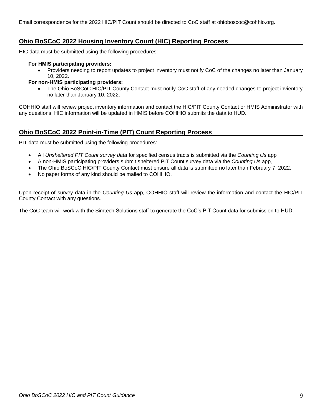# **Ohio BoSCoC 2022 Housing Inventory Count (HIC) Reporting Process**

HIC data must be submitted using the following procedures:

#### **For HMIS participating providers:**

• Providers needing to report updates to project inventory must notify CoC of the changes no later than January 10, 2022.

#### **For non-HMIS participating providers:**

• The Ohio BoSCoC HIC/PIT County Contact must notify CoC staff of any needed changes to project invientory no later than January 10, 2022.

COHHIO staff will review project inventory information and contact the HIC/PIT County Contact or HMIS Administrator with any questions. HIC information will be updated in HMIS before COHHIO submits the data to HUD.

## **Ohio BoSCoC 2022 Point-in-Time (PIT) Count Reporting Process**

PIT data must be submitted using the following procedures:

- All *Unsheltered PIT Count survey data* for specified census tracts is submitted via the *Counting Us* app
- A non-HMIS participating providers submit sheltered PIT Count survey data via the *Counting Us* app*,*
- The Ohio BoSCoC HIC/PIT County Contact must ensure all data is submitted no later than February 7, 2022.
- No paper forms of any kind should be mailed to COHHIO.

Upon receipt of survey data in the *Counting Us* app, COHHIO staff will review the information and contact the HIC/PIT County Contact with any questions.

The CoC team will work with the Simtech Solutions staff to generate the CoC's PIT Count data for submission to HUD.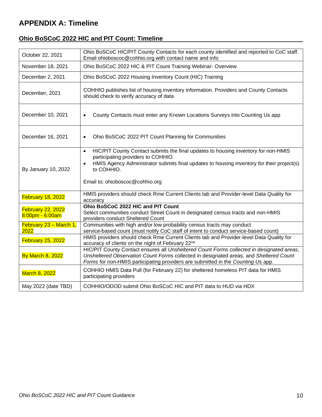# **APPENDIX A: Timeline**

# **Ohio BoSCoC 2022 HIC and PIT Count: Timeline**

| October 22, 2021                            | Ohio BoSCoC HIC/PIT County Contacts for each county identified and reported to CoC staff.<br>Email ohioboscoc@cohhio.org with contact name and info                                                                                                                                              |
|---------------------------------------------|--------------------------------------------------------------------------------------------------------------------------------------------------------------------------------------------------------------------------------------------------------------------------------------------------|
| November 18, 2021                           | Ohio BoSCoC 2022 HIC & PIT Count Training Webinar- Overview                                                                                                                                                                                                                                      |
| December 2, 2021                            | Ohio BoSCoC 2022 Housing Inventory Count (HIC) Training                                                                                                                                                                                                                                          |
| December, 2021                              | COHHIO publishes list of housing inventory information. Providers and County Contacts<br>should check to verify accuracy of data                                                                                                                                                                 |
| December 10, 2021                           | County Contacts must enter any Known Locations Surveys into Counting Us app<br>$\bullet$                                                                                                                                                                                                         |
| December 16, 2021                           | Ohio BoSCoC 2022 PIT Count Planning for Communities<br>٠                                                                                                                                                                                                                                         |
| By January 10, 2022                         | HIC/PIT County Contact submits the final updates to housing inventory for non-HMIS<br>$\bullet$<br>participating providers to COHHIO.<br>HMIS Agency Administrator submits final updates to housing inventory for their project(s)<br>$\bullet$<br>to COHHIO.<br>Email to: ohioboscoc@cohhio.org |
| February 18, 2022                           | HMIS providers should check Rme Current Clients tab and Provider-level Data Quality for<br>accuracy                                                                                                                                                                                              |
| <b>February 22, 2022</b><br>8:00pm - 6:00am | Ohio BoSCoC 2022 HIC and PIT Count<br>Select communities conduct Street Count in designated census tracts and non-HMIS<br>providers conduct Sheltered Count                                                                                                                                      |
| February 23 - March 1,<br>2022              | Communities with high and/or low probability census tracts may conduct<br>service-based count (must notify CoC staff of intent to conduct service-based count)                                                                                                                                   |
| February 25, 2022                           | HMIS providers should check Rme Current Clients tab and Provider-level Data Quality for<br>accuracy of clients on the night of February 22nd                                                                                                                                                     |
| <b>By March 8, 2022</b>                     | HIC/PIT County Contact ensures all Unsheltered Count Forms collected in designated areas,<br>Unsheltered Observation Count Forms collected in designated areas, and Sheltered Count<br>Forms for non-HMIS participating providers are submitted in the Counting Us app.                          |
| March 8, 2022                               | COHHIO HMIS Data Pull (for February 22) for sheltered homeless PIT data for HMIS<br>participating providers                                                                                                                                                                                      |
| May 2022 (date TBD)                         | COHHIO/ODOD submit Ohio BoSCoC HIC and PIT data to HUD via HDX                                                                                                                                                                                                                                   |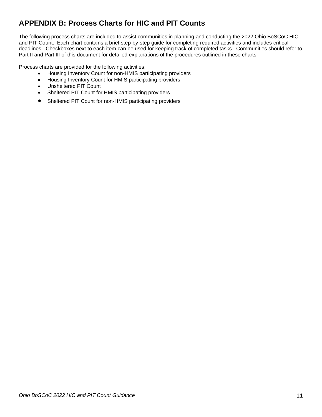# **APPENDIX B: Process Charts for HIC and PIT Counts**

The following process charts are included to assist communities in planning and conducting the 2022 Ohio BoSCoC HIC and PIT Count. Each chart contains a brief step-by-step guide for completing required activities and includes critical deadlines. Checkboxes next to each item can be used for keeping track of completed tasks. Communities should refer to Part II and Part III of this document for detailed explanations of the procedures outlined in these charts.

Process charts are provided for the following activities:

- Housing Inventory Count for non-HMIS participating providers
- Housing Inventory Count for HMIS participating providers
- Unsheltered PIT Count
- Sheltered PIT Count for HMIS participating providers
- Sheltered PIT Count for non-HMIS participating providers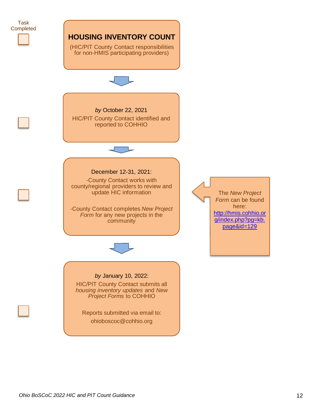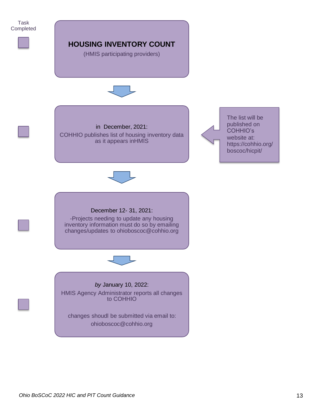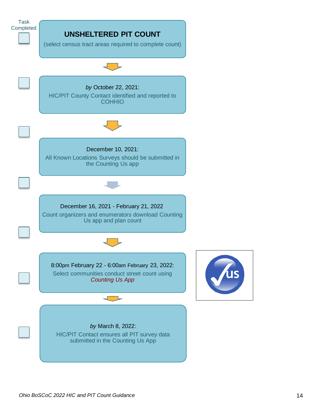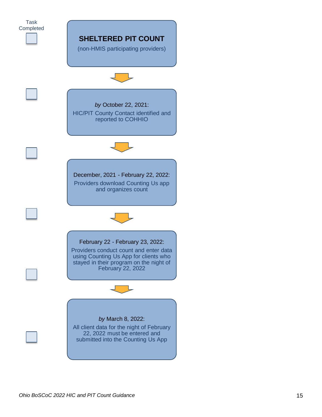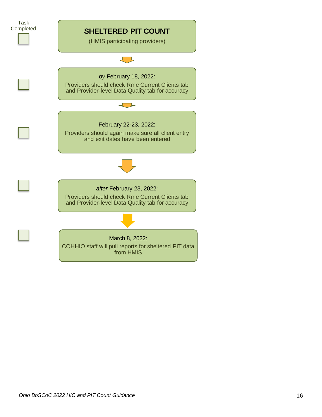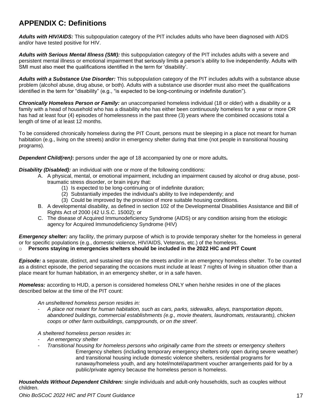# **APPENDIX C: Definitions**

*Adults with HIV/AIDS:* This subpopulation category of the PIT includes adults who have been diagnosed with AIDS and/or have tested positive for HIV.

*Adults with Serious Mental Illness (SMI):* this subpopulation category of the PIT includes adults with a severe and persistent mental illness or emotional impairment that seriously limits a person's ability to live independently. Adults with SMI must also meet the qualifications identified in the term for 'disability'.

*Adults with a Substance Use Disorder:* This subpopulation category of the PIT includes adults with a substance abuse problem (alcohol abuse, drug abuse, or both). Adults with a substance use disorder must also meet the qualifications identified in the term for "disability" (e.g., "is expected to be long*-*continuing or indefinite duration").

*Chronically Homeless Person or Family:* an unaccompanied homeless individual (18 or older) with a disability or a family with a head of household who has a disability who has either been continuously homeless for a year or more OR has had at least four (4) episodes of homelessness in the past three (3) years where the combined occasions total a length of time of at least 12 months.

To be considered chronically homeless during the PIT Count, persons must be sleeping in a place not meant for human habitation (e.g., living on the streets) and/or in emergency shelter during that time (not people in transitional housing programs).

*Dependent Child(ren)***:** persons under the age of 18 accompanied by one or more adults*.*

*Disability (Disabled):* an individual with one or more of the following conditions:

- A. A physical, mental, or emotional impairment, including an impairment caused by alcohol or drug abuse, posttraumatic stress disorder, or brain injury that:
	- (1) Is expected to be long-continuing or of indefinite duration;
	- (2) Substantially impedes the individual's ability to live independently; and
	- (3) Could be improved by the provision of more suitable housing conditions.
- B. A developmental disability, as defined in section 102 of the Developmental Disabilities Assistance and Bill of Rights Act of 2000 (42 U.S.C. 15002); or
- C. The disease of Acquired Immunodeficiency Syndrome (AIDS) or any condition arising from the etiologic agency for Acquired Immunodeficiency Syndrome (HIV)

*Emergency shelter:* any facility, the primary purpose of which is to provide temporary shelter for the homeless in general or for specific populations (e.g., domestic violence, HIV/AIDS, Veterans, etc.) of the homeless.

#### o **Persons staying in emergencies shelters should be included in the 2022 HIC and PIT Count**

*Episode:* a separate, distinct, and sustained stay on the streets and/or in an emergency homeless shelter. To be counted as a distinct episode, the period separating the occasions must include at least 7 nights of living in situation other than a place meant for human habitation, in an emergency shelter, or in a safe haven.

*Homeless:* according to HUD, a person is considered homeless ONLY when he/she resides in one of the places described below at the time of the PIT count:

*An unsheltered homeless person resides in:*

- *A place not meant for human habitation, such as cars, parks, sidewalks, alleys, transportation depots, abandoned buildings, commercial establishments (e.g., movie theaters, laundromats, restaurants), chicken coops or other farm outbuildings, campgrounds, or on the street<sup>i</sup> .*

*A sheltered homeless person resides in:*

- *An emergency shelter*
- *Transitional housing for homeless persons who originally came from the streets or emergency shelters* Emergency shelters (including temporary emergency shelters only open during severe weather) and transitional housing include domestic violence shelters, residential programs for runaway/homeless youth, and any hotel/motel/apartment voucher arrangements paid for by a public/private agency because the homeless person is homeless.

*Households Without Dependent Children:* single individuals and adult-only households, such as couples without children.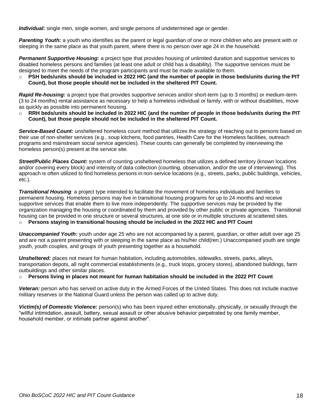*Individual:* single men, single women, and single persons of undetermined age or gender.

*Parenting Youth:* a youth who identifies as the parent or legal guardian of one or more children who are present with or sleeping in the same place as that youth parent, where there is no person over age 24 in the household.

*Permanent Supportive Housing:* a project type that provides housing of unlimited duration and supportive services to disabled homeless persons and families (at least one adult or child has a disability). The supportive services must be designed to meet the needs of the program participants and must be made available to them.

o **PSH beds/units should be included in 2022 HIC (and the number of people in those beds/units during the PIT Count), but those people should not be included in the sheltered PIT Count.** 

*Rapid Re-housing:* a project type that provides supportive services and/or short-term (up to 3 months) or medium-term (3 to 24 months) rental assistance as necessary to help a homeless individual or family, with or without disabilities, move as quickly as possible into permanent housing.

o **RRH beds/units should be included in 2022 HIC (and the number of people in those beds/units during the PIT Count), but those people should not be included in the sheltered PIT Count.** 

*Service-Based Count:* unsheltered homeless count method that utilizes the strategy of reaching out to persons based on their use of non-shelter services (e.g., soup kitchens, food pantries, Health Care for the Homeless facilities, outreach programs and mainstream social service agencies). These counts can generally be completed by interviewing the homeless person(s) present at the service site.

**Street/Public Places Count:** system of counting unsheltered homeless that utilizes a defined territory (known locations and/or covering every block) and intensity of data collection (counting, observation, and/or the use of interviewing). This approach is often utilized to find homeless persons innon-service locations (e.g., streets, parks, public buildings, vehicles, etc.).

*Transitional Housing:* a project type intended to facilitate the movement of homeless individuals and families to permanent housing. Homeless persons may live in transitional housing programs for up to 24 months and receive supportive services that enable them to live more independently. The supportive services may be provided by the organization managing the housing or coordinated by them and provided by other public or private agencies. Transitional housing can be provided in one structure or several structures, at one site or in multiple structures at scattered sites.

o **Persons staying in transitional housing should be included in the 2022 HIC and PIT Count**

*Unaccompanied Youth:* youth under age 25 who are not accompanied by a parent, guardian, or other adult over age 25 and are not a parent presenting with or sleeping in the same place as his/her child(ren.) Unaccompanied youth are single youth, youth couples, and groups of youth presenting together as a household.

*Unsheltered:* places not meant for human habitation, including automobiles, sidewalks, streets, parks, alleys, transportation depots, all night commercial establishments (e.g., truck stops, grocery stores), abandoned buildings, farm outbuildings and other similar places.

o **Persons living in places not meant for human habitation should be included in the 2022 PIT Count**

*Veteran:* person who has served on active duty in the Armed Forces of the United States. This does not include inactive military reserves or the National Guard unless the person was called up to active duty.

*Victim(s) of Domestic Violence:* person(s) who has been injured either emotionally, physically, or sexually through the "willful intimidation, assault, battery, sexual assault or other abusive behavior perpetrated by one family member, household member, or intimate partner against another".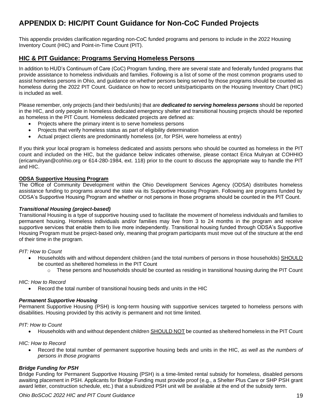# **APPENDIX D: HIC/PIT Count Guidance for Non-CoC Funded Projects**

This appendix provides clarification regarding non-CoC funded programs and persons to include in the 2022 Housing Inventory Count (HIC) and Point-in-Time Count (PIT).

## **HIC & PIT Guidance: Programs Serving Homeless Persons**

In addition to HUD's Continuum of Care (CoC) Program funding, there are several state and federally funded programs that provide assistance to homeless individuals and families. Following is a list of some of the most common programs used to assist homeless persons in Ohio, and guidance on whether persons being served by those programs should be counted as homeless during the 2022 PIT Count. Guidance on how to record units/participants on the Housing Inventory Chart (HIC) is included as well.

Please remember, only projects (and their beds/units) that are *dedicated to serving homeless persons* should be reported in the HIC, and only people in homeless dedicated emergency shelter and transitional housing projects should be reported as homeless in the PIT Count. Homeless dedicated projects are defined as:

- Projects where the primary intent is to serve homeless persons
- Projects that verify homeless status as part of eligibility determination
- Actual project clients are predominantly homeless (or, for PSH, were homeless at entry)

If you think your local program is homeless dedicated and assists persons who should be counted as homeless in the PIT count and included on the HIC, but the guidance below indicates otherwise, please contact Erica Mulryan at COHHIO (ericamulryan@cohhio.org or 614-280-1984, ext. 118) prior to the count to discuss the appropriate way to handle the PIT and HIC.

#### **ODSA Supportive Housing Program**

The Office of Community Development within the Ohio Development Services Agency (ODSA) distributes homeless assistance funding to programs around the state via its Supportive Housing Program. Following are programs funded by ODSA's Supportive Housing Program and whether or not persons in those programs should be counted in the PIT Count.

#### *Transitional Housing (project-based)*

Transitional Housing is a type of supportive housing used to facilitate the movement of homeless individuals and families to permanent housing. Homeless individuals and/or families may live from 3 to 24 months in the program and receive supportive services that enable them to live more independently. Transitional housing funded through ODSA's Supportive Housing Program must be project-based only, meaning that program participants must move out of the structure at the end of their time in the program.

#### *PIT: How to Count*

- Households with and without dependent children (and the total numbers of persons in those households) SHOULD be counted as sheltered homeless in the PIT Count
	- $\circ$  These persons and households should be counted as residing in transitional housing during the PIT Count

#### *HIC: How to Record*

• Record the total number of transitional housing beds and units in the HIC

#### *Permanent Supportive Housing*

Permanent Supportive Housing (PSH) is long-term housing with supportive services targeted to homeless persons with disabilities. Housing provided by this activity is permanent and not time limited.

#### *PIT: How to Count*

• Households with and without dependent children SHOULD NOT be counted as sheltered homeless in the PIT Count

#### *HIC: How to Record*

• Record the total number of permanent supportive housing beds and units in the HIC, *as well as the numbers of persons in those programs*

#### *Bridge Funding for PSH*

Bridge Funding for Permanent Supportive Housing (PSH) is a time-limited rental subsidy for homeless, disabled persons awaiting placement in PSH. Applicants for Bridge Funding must provide proof (e.g., a Shelter Plus Care or SHP PSH grant award letter, construction schedule, etc.) that a subsidized PSH unit will be available at the end of the subsidy term.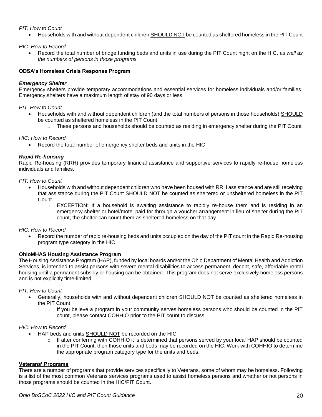#### *PIT: How to Count*

• Households with and without dependent children SHOULD NOT be counted as sheltered homeless in the PIT Count

*HIC: How to Record*

• Record the total number of bridge funding beds and units in use during the PIT Count night on the HIC, *as well as the numbers of persons in those programs*

#### **ODSA's Homeless Crisis Response Program**

#### *Emergency Shelter*

Emergency shelters provide temporary accommodations and essential services for homeless individuals and/or families. Emergency shelters have a maximum length of stay of 90 days or less.

#### *PIT: How to Count*

- Households with and without dependent children (and the total numbers of persons in those households) SHOULD be counted as sheltered homeless in the PIT Count
	- $\circ$  These persons and households should be counted as residing in emergency shelter during the PIT Count

#### *HIC: How to Record*

• Record the total number of emergency shelter beds and units in the HIC

#### *Rapid Re-housing*

Rapid Re-housing (RRH) provides temporary financial assistance and supportive services to rapidly re-house homeless individuals and families.

*PIT: How to Count* 

- Households with and without dependent children who have been housed with RRH assistance and are still receiving that assistance during the PIT Count SHOULD NOT be counted as sheltered or unsheltered homeless in the PIT Count
	- $\circ$  EXCEPTION: If a household is awaiting assistance to rapidly re-house them and is residing in an emergency shelter or hotel/motel paid for through a voucher arrangement in lieu of shelter during the PIT count, the shelter can count them as sheltered homeless on that day

#### *HIC: How to Record*

• Record the number of rapid re-housing beds and units occupied on the day of the PIT count in the Rapid Re-housing program type category in the HIC

#### **OhioMHAS Housing Assistance Program**

The Housing Assistance Program (HAP), funded by local boards and/or the Ohio Department of Mental Health and Addiction Services, is intended to assist persons with severe mental disabilities to access permanent, decent, safe, affordable rental housing until a permanent subsidy or housing can be obtained. This program does not serve exclusively homeless persons and is not explicitly time-limited.

#### *PIT: How to Count*

- Generally, households with and without dependent children SHOULD NOT be counted as sheltered homeless in the PIT Count
	- $\circ$  If you believe a program in your community serves homeless persons who should be counted in the PIT count, please contact COHHIO prior to the PIT count to discuss.

#### *HIC: How to Record*

- HAP beds and units SHOULD NOT be recorded on the HIC
	- $\circ$  If after conferring with COHHIO it is determined that persons served by your local HAP should be counted in the PIT Count, then those units and beds may be recorded on the HIC. Work with COHHIO to determine the appropriate program category type for the units and beds.

#### **Veterans' Programs**

There are a number of programs that provide services specifically to Veterans, some of whom may be homeless. Following is a list of the most common Veterans services programs used to assist homeless persons and whether or not persons in those programs should be counted in the HIC/PIT Count.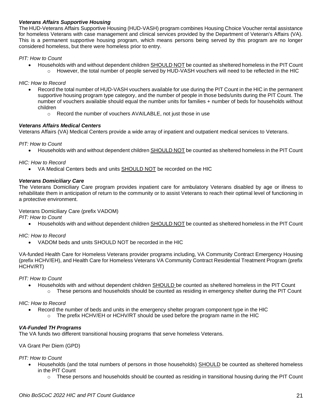#### *Veterans Affairs Supportive Housing*

The HUD-Veterans Affairs Supportive Housing (HUD-VASH) program combines Housing Choice Voucher rental assistance for homeless Veterans with case management and clinical services provided by the Department of Veteran's Affairs (VA). This is a permanent supportive housing program, which means persons being served by this program are no longer considered homeless, but there were homeless prior to entry.

#### *PIT: How to Count*

• Households with and without dependent children SHOULD NOT be counted as sheltered homeless in the PIT Count  $\circ$  However, the total number of people served by HUD-VASH vouchers will need to be reflected in the HIC

#### *HIC: How to Record*

- Record the total number of HUD-VASH vouchers available for use during the PIT Count in the HIC in the permanent supportive housing program type category, and the number of people in those beds/units during the PIT Count. The number of vouchers available should equal the number units for families + number of beds for households without children
	- o Record the number of vouchers AVAILABLE, not just those in use

#### *Veterans Affairs Medical Centers*

Veterans Affairs (VA) Medical Centers provide a wide array of inpatient and outpatient medical services to Veterans.

#### *PIT: How to Count*

• Households with and without dependent children SHOULD NOT be counted as sheltered homeless in the PIT Count

#### *HIC: How to Record*

• VA Medical Centers beds and units SHOULD NOT be recorded on the HIC

#### *Veterans Domiciliary Care*

The Veterans Domiciliary Care program provides inpatient care for ambulatory Veterans disabled by age or illness to rehabilitate them in anticipation of return to the community or to assist Veterans to reach their optimal level of functioning in a protective environment.

#### Veterans Domiciliary Care (prefix VADOM)

*PIT: How to Count*

• Households with and without dependent children SHOULD NOT be counted as sheltered homeless in the PIT Count

#### *HIC: How to Record*

• VADOM beds and units SHOULD NOT be recorded in the HIC

VA-funded Health Care for Homeless Veterans provider programs including, VA Community Contract Emergency Housing (prefix HCHV/EH), and Health Care for Homeless Veterans VA Community Contract Residential Treatment Program (prefix HCHV/RT)

*PIT: How to Count*

- Households with and without dependent children SHOULD be counted as sheltered homeless in the PIT Count
	- $\circ$  These persons and households should be counted as residing in emergency shelter during the PIT Count

#### *HIC: How to Record*

- Record the number of beds and units in the emergency shelter program component type in the HIC
	- $\circ$  The prefix HCHV/EH or HCHV/RT should be used before the program name in the HIC

#### *VA-Funded TH Programs*

The VA funds two different transitional housing programs that serve homeless Veterans.

VA Grant Per Diem (GPD)

#### *PIT: How to Count*

- Households (and the total numbers of persons in those households) SHOULD be counted as sheltered homeless in the PIT Count
	- $\circ$  These persons and households should be counted as residing in transitional housing during the PIT Count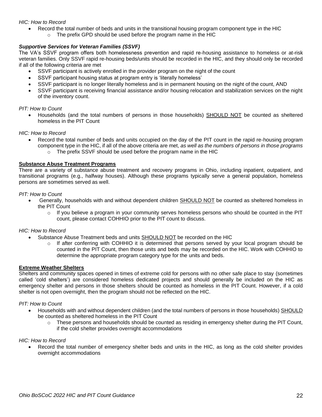#### *HIC: How to Record*

- Record the total number of beds and units in the transitional housing program component type in the HIC
	- $\circ$  The prefix GPD should be used before the program name in the HIC

#### *Supportive Services for Veteran Families (SSVF)*

The VA's SSVF program offers both homelessness prevention and rapid re-housing assistance to homeless or at-risk veteran families. Only SSVF rapid re-housing beds/units should be recorded in the HIC, and they should only be recorded if all of the following criteria are met

- SSVF participant is actively enrolled in the provider program on the night of the count
- SSVF participant housing status at program entry is 'literally homeless'
- SSVF participant is no longer literally homeless and is in permanent housing on the night of the count, AND
- SSVF participant is receiving financial assistance and/or housing relocation and stabilization services on the night of the inventory count.

#### *PIT: How to Count*

• Households (and the total numbers of persons in those households) SHOULD NOT be counted as sheltered homeless in the PIT Count

#### *HIC: How to Record*

- Record the total number of beds and units occupied on the day of the PIT count in the rapid re-housing program component type in the HIC, if all of the above criteria are met, *as well as the numbers of persons in those programs*
	- o The prefix SSVF should be used before the program name in the HIC

#### **Substance Abuse Treatment Programs**

There are a variety of substance abuse treatment and recovery programs in Ohio, including inpatient, outpatient, and transitional programs (e.g., halfway houses). Although these programs typically serve a general population, homeless persons are sometimes served as well.

#### *PIT: How to Count*

- Generally, households with and without dependent children SHOULD NOT be counted as sheltered homeless in the PIT Count
	- $\circ$  If you believe a program in your community serves homeless persons who should be counted in the PIT count, please contact COHHIO prior to the PIT count to discuss.

#### *HIC: How to Record*

- Substance Abuse Treatment beds and units SHOULD NOT be recorded on the HIC
	- $\circ$  If after conferring with COHHIO it is determined that persons served by your local program should be counted in the PIT Count, then those units and beds may be recorded on the HIC. Work with COHHIO to determine the appropriate program category type for the units and beds.

#### **Extreme Weather Shelters**

Shelters and community spaces opened in times of extreme cold for persons with no other safe place to stay (sometimes called 'cold shelters') are considered homeless dedicated projects and should generally be included on the HIC as emergency shelter and persons in those shelters should be counted as homeless in the PIT Count. However, if a cold shelter is not open overnight, then the program should not be reflected on the HIC.

#### *PIT: How to Count*

- Households with and without dependent children (and the total numbers of persons in those households) SHOULD be counted as sheltered homeless in the PIT Count
	- $\circ$  These persons and households should be counted as residing in emergency shelter during the PIT Count, if the cold shelter provides overnight accommodations

#### *HIC: How to Record*

• Record the total number of emergency shelter beds and units in the HIC, as long as the cold shelter provides overnight accommodations